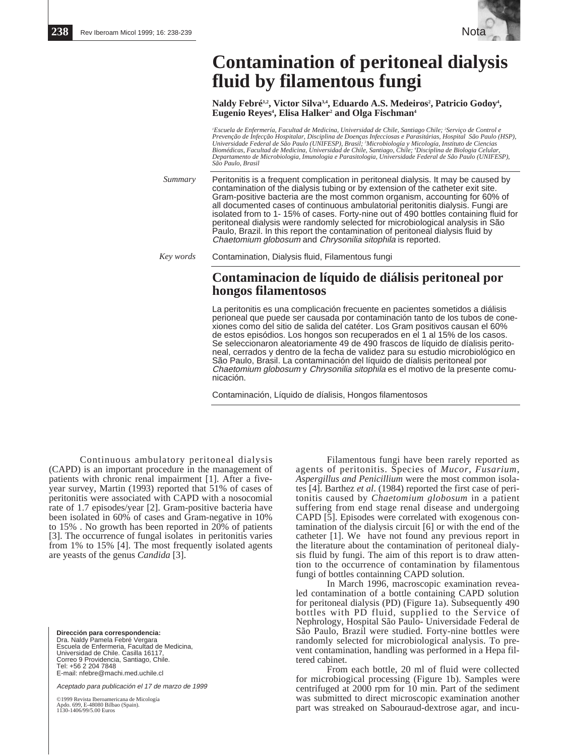

## **Contamination of peritoneal dialysis fluid by filamentous fungi**

Naldy Febré<sup>1,2</sup>, Victor Silva<sup>3,4</sup>, Eduardo A.S. Medeiros<sup>2</sup>, Patricio Godoy<sup>4</sup>, **Eugenio Reyes<sup>4</sup>, Elisa Halker<sup>2</sup> and Olga Fischman<sup>4</sup>** 

<sup>*i*</sup> Escuela de Enfermería, Facultad de Medicina, Universidad de Chile, Santiago Chile; <sup>2</sup>Serviço de Control e Prevenção de Infecção Hospitalar, Disciplina de Doenças Infecciosas e Parasitárias, Hospital São Paulo (HSP),<br>Universidade Federal de São Paulo (UNIFESP), Brasil; 'Microbiología y Micología, Instituto de Ciencias<br>Biomédic *Departamento de Microbiologia, Imunologia e Parasitologia, Universidade Federal de São Paulo (UNIFESP), São Paulo, Brasil*

Peritonitis is a frequent complication in peritoneal dialysis. It may be caused by contamination of the dialysis tubing or by extension of the catheter exit site. Gram-positive bacteria are the most common organism, accounting for 60% of all documented cases of continuous ambulatorial peritonitis dialysis. Fungi are isolated from to 1- 15% of cases. Forty-nine out of 490 bottles containing fluid for peritoneal dialysis were randomly selected for microbiological analysis in São Paulo, Brazil. In this report the contamination of peritoneal dialysis fluid by Chaetomium globosum and Chrysonilia sitophila is reported. *Summary*

*Key words* Contamination, Dialysis fluid, Filamentous fungi

## **Contaminacion de líquido de diálisis peritoneal por hongos filamentosos**

La peritonitis es una complicación frecuente en pacientes sometidos a diálisis perioneal que puede ser causada por contaminación tanto de los tubos de conexiones como del sitio de salida del catéter. Los Gram positivos causan el 60% de estos episódios. Los hongos son recuperados en el 1 al 15% de los casos. Se seleccionaron aleatoriamente 49 de 490 frascos de líquido de díalisis peritoneal, cerrados y dentro de la fecha de validez para su estudio microbiológico en São Paulo, Brasil. La contaminación del líquido de díalisis peritoneal por Chaetomium globosum y Chrysonilia sitophila es el motivo de la presente comunicación.

Contaminación, Líquido de díalisis, Hongos filamentosos

Continuous ambulatory peritoneal dialysis (CAPD) is an important procedure in the management of patients with chronic renal impairment [1]. After a fiveyear survey, Martin (1993) reported that 51% of cases of peritonitis were associated with CAPD with a nosocomial rate of 1.7 episodes/year [2]. Gram-positive bacteria have been isolated in 60% of cases and Gram-negative in 10% to 15% . No growth has been reported in 20% of patients [3]. The occurrence of fungal isolates in peritonitis varies from 1% to 15% [4]. The most frequently isolated agents are yeasts of the genus *Candida* [3].

**Dirección para correspondencia:**  Dra. Naldy Pamela Febré Vergara Escuela de Enfermeria, Facultad de Medicina, Universidad de Chile. Casilla 16117, Correo 9 Providencia, Santiago, Chile. Tel: +56 2 204 7848 E-mail: nfebre@machi.med.uchile.cl

Aceptado para publicación el 17 de marzo de 1999

©1999 Revista Iberoamericana de Micología Apdo. 699, E-48080 Bilbao (Spain). 1130-1406/99/5.00 Euros

Filamentous fungi have been rarely reported as agents of peritonitis. Species of *Mucor, Fusarium, Aspergillus and Penicillium* were the most common isolates [4]. Barthez *et al*. (1984) reported the first case of peritonitis caused by *Chaetomium globosum* in a patient suffering from end stage renal disease and undergoing CAPD [5]. Episodes were correlated with exogenous contamination of the dialysis circuit [6] or with the end of the catheter [1]. We have not found any previous report in the literature about the contamination of peritoneal dialysis fluid by fungi. The aim of this report is to draw attention to the occurrence of contamination by filamentous fungi of bottles containning CAPD solution.

In March 1996, macroscopic examination revealed contamination of a bottle containing CAPD solution for peritoneal dialysis (PD) (Figure 1a). Subsequently 490 bottles with PD fluid, supplied to the Service of Nephrology, Hospital São Paulo- Universidade Federal de São Paulo, Brazil were studied. Forty-nine bottles were randomly selected for microbiological analysis. To prevent contamination, handling was performed in a Hepa filtered cabinet.

From each bottle, 20 ml of fluid were collected for microbiogical processing (Figure 1b). Samples were centrifuged at 2000 rpm for 10 min. Part of the sediment was submitted to direct microscopic examination another part was streaked on Sabouraud-dextrose agar, and incu-